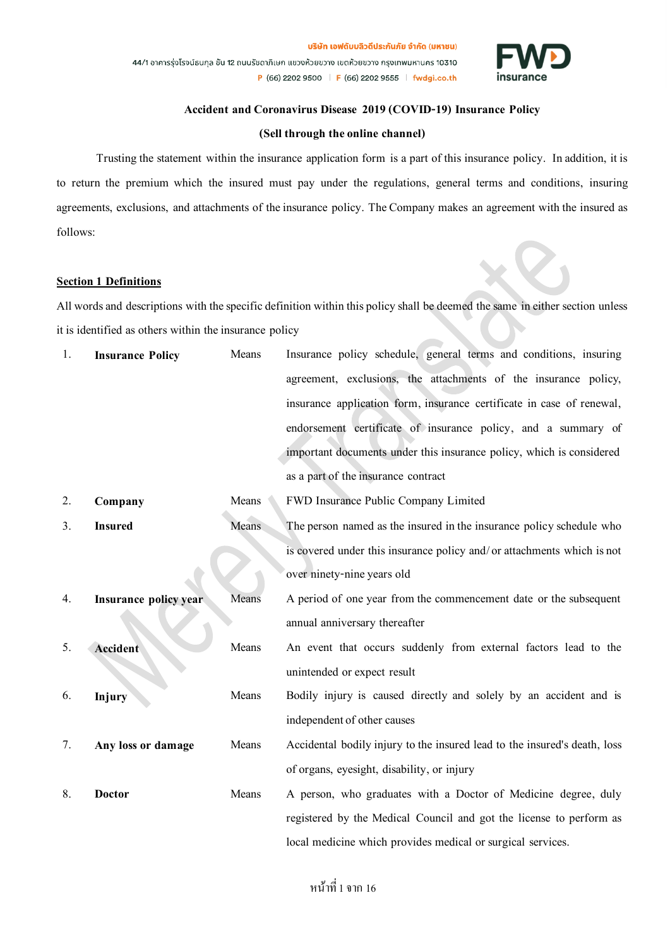

### **Accident and Coronavirus Disease 2019 (COVID-19) Insurance Policy**

### **(Sell through the online channel)**

Trusting the statement within the insurance application form is a part of this insurance policy. In addition, it is to return the premium which the insured must pay under the regulations, general terms and conditions, insuring agreements, exclusions, and attachments of the insurance policy. The Company makes an agreement with the insured as follows:

#### **Section 1 Definitions**

All words and descriptions with the specific definition within this policy shall be deemed the same in either section unless it is identified as others within the insurance policy

| 1. | <b>Insurance Policy</b>      | Means        | Insurance policy schedule, general terms and conditions, insuring         |
|----|------------------------------|--------------|---------------------------------------------------------------------------|
|    |                              |              | agreement, exclusions, the attachments of the insurance policy,           |
|    |                              |              | insurance application form, insurance certificate in case of renewal,     |
|    |                              |              | endorsement certificate of insurance policy, and a summary of             |
|    |                              |              | important documents under this insurance policy, which is considered      |
|    |                              |              | as a part of the insurance contract                                       |
| 2. | Company                      | Means        | FWD Insurance Public Company Limited                                      |
| 3. | <b>Insured</b>               | <b>Means</b> | The person named as the insured in the insurance policy schedule who      |
|    |                              |              | is covered under this insurance policy and/ or attachments which is not   |
|    |                              |              | over ninety-nine years old                                                |
| 4. | <b>Insurance policy year</b> | Means        | A period of one year from the commencement date or the subsequent         |
|    |                              |              | annual anniversary thereafter                                             |
| 5. | <b>Accident</b>              | Means        | An event that occurs suddenly from external factors lead to the           |
|    |                              |              | unintended or expect result                                               |
| 6. | Injury                       | Means        | Bodily injury is caused directly and solely by an accident and is         |
|    |                              |              | independent of other causes                                               |
| 7. | Any loss or damage           | Means        | Accidental bodily injury to the insured lead to the insured's death, loss |
|    |                              |              | of organs, eyesight, disability, or injury                                |
| 8. | <b>Doctor</b>                | Means        | A person, who graduates with a Doctor of Medicine degree, duly            |
|    |                              |              | registered by the Medical Council and got the license to perform as       |
|    |                              |              | local medicine which provides medical or surgical services.               |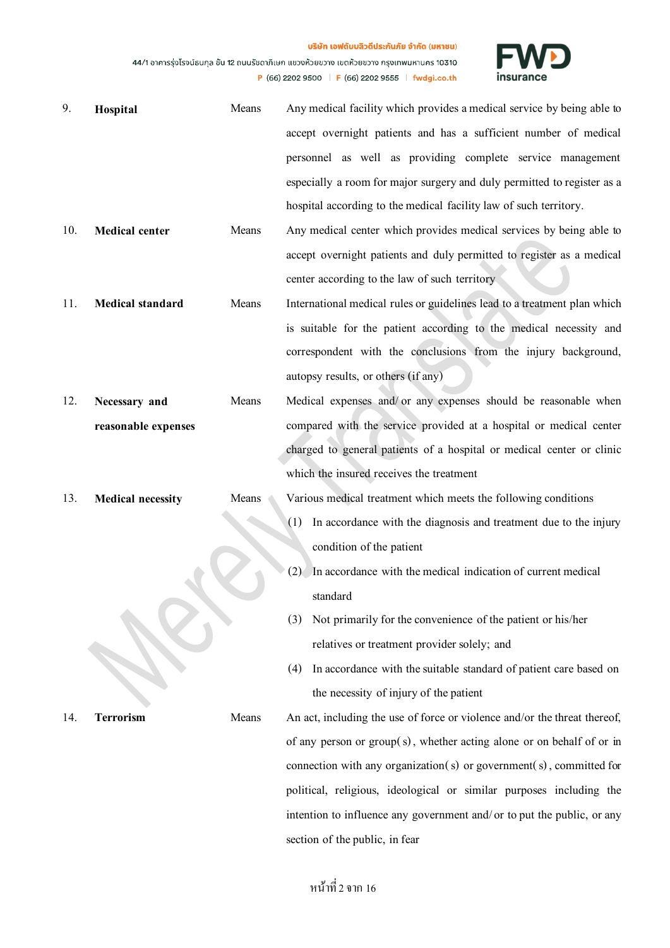้บริษัท เอฟดับบลิวดีประกันภัย จำกัด (มหาชน) 44/1 อาคารรุ่งโรจน์ธนกุล ชั้น 12 ถนนรัชดาภิเษก แขวงห้วยขวาง เขตห้วยขวาง กรุงเทพมหานคร 10310

P (66) 2202 9500 F (66) 2202 9555 F fwdgi.co.th



| 9.  | Hospital                 | Means | Any medical facility which provides a medical service by being able to<br>accept overnight patients and has a sufficient number of medical                                                                                                                                                                                                                                                                                                                                                                                                                                            |
|-----|--------------------------|-------|---------------------------------------------------------------------------------------------------------------------------------------------------------------------------------------------------------------------------------------------------------------------------------------------------------------------------------------------------------------------------------------------------------------------------------------------------------------------------------------------------------------------------------------------------------------------------------------|
|     |                          |       | personnel as well as providing complete service management                                                                                                                                                                                                                                                                                                                                                                                                                                                                                                                            |
|     |                          |       | especially a room for major surgery and duly permitted to register as a                                                                                                                                                                                                                                                                                                                                                                                                                                                                                                               |
|     |                          |       | hospital according to the medical facility law of such territory.                                                                                                                                                                                                                                                                                                                                                                                                                                                                                                                     |
| 10. | <b>Medical center</b>    | Means | Any medical center which provides medical services by being able to                                                                                                                                                                                                                                                                                                                                                                                                                                                                                                                   |
|     |                          |       | accept overnight patients and duly permitted to register as a medical                                                                                                                                                                                                                                                                                                                                                                                                                                                                                                                 |
|     |                          |       | center according to the law of such territory.                                                                                                                                                                                                                                                                                                                                                                                                                                                                                                                                        |
| 11. | Medical standard         | Means | International medical rules or guidelines lead to a treatment plan which                                                                                                                                                                                                                                                                                                                                                                                                                                                                                                              |
|     |                          |       | is suitable for the patient according to the medical necessity and                                                                                                                                                                                                                                                                                                                                                                                                                                                                                                                    |
|     |                          |       | correspondent with the conclusions from the injury background,                                                                                                                                                                                                                                                                                                                                                                                                                                                                                                                        |
|     |                          |       | autopsy results, or others (if any)                                                                                                                                                                                                                                                                                                                                                                                                                                                                                                                                                   |
| 12. | Necessary and            | Means | Medical expenses and/or any expenses should be reasonable when                                                                                                                                                                                                                                                                                                                                                                                                                                                                                                                        |
|     | reasonable expenses      |       | compared with the service provided at a hospital or medical center                                                                                                                                                                                                                                                                                                                                                                                                                                                                                                                    |
|     |                          |       | charged to general patients of a hospital or medical center or clinic                                                                                                                                                                                                                                                                                                                                                                                                                                                                                                                 |
|     |                          |       | which the insured receives the treatment                                                                                                                                                                                                                                                                                                                                                                                                                                                                                                                                              |
| 13. | <b>Medical necessity</b> | Means | Various medical treatment which meets the following conditions                                                                                                                                                                                                                                                                                                                                                                                                                                                                                                                        |
|     |                          |       | In accordance with the diagnosis and treatment due to the injury<br>(1)                                                                                                                                                                                                                                                                                                                                                                                                                                                                                                               |
|     |                          |       | condition of the patient                                                                                                                                                                                                                                                                                                                                                                                                                                                                                                                                                              |
|     |                          |       | In accordance with the medical indication of current medical<br>(2)                                                                                                                                                                                                                                                                                                                                                                                                                                                                                                                   |
|     |                          |       | standard                                                                                                                                                                                                                                                                                                                                                                                                                                                                                                                                                                              |
|     |                          |       | Not primarily for the convenience of the patient or his/her<br>(3)                                                                                                                                                                                                                                                                                                                                                                                                                                                                                                                    |
|     |                          |       |                                                                                                                                                                                                                                                                                                                                                                                                                                                                                                                                                                                       |
|     |                          |       |                                                                                                                                                                                                                                                                                                                                                                                                                                                                                                                                                                                       |
|     |                          |       |                                                                                                                                                                                                                                                                                                                                                                                                                                                                                                                                                                                       |
|     |                          |       |                                                                                                                                                                                                                                                                                                                                                                                                                                                                                                                                                                                       |
|     |                          |       |                                                                                                                                                                                                                                                                                                                                                                                                                                                                                                                                                                                       |
|     |                          |       |                                                                                                                                                                                                                                                                                                                                                                                                                                                                                                                                                                                       |
|     |                          |       |                                                                                                                                                                                                                                                                                                                                                                                                                                                                                                                                                                                       |
|     |                          |       |                                                                                                                                                                                                                                                                                                                                                                                                                                                                                                                                                                                       |
|     |                          |       |                                                                                                                                                                                                                                                                                                                                                                                                                                                                                                                                                                                       |
| 14. | <b>Terrorism</b>         | Means | relatives or treatment provider solely; and<br>In accordance with the suitable standard of patient care based on<br>(4)<br>the necessity of injury of the patient<br>An act, including the use of force or violence and/or the threat thereof,<br>of any person or $group(s)$ , whether acting alone or on behalf of or in<br>connection with any organization(s) or government(s), committed for<br>political, religious, ideological or similar purposes including the<br>intention to influence any government and/ or to put the public, or any<br>section of the public, in fear |

# หน้าที่ 2จาก 16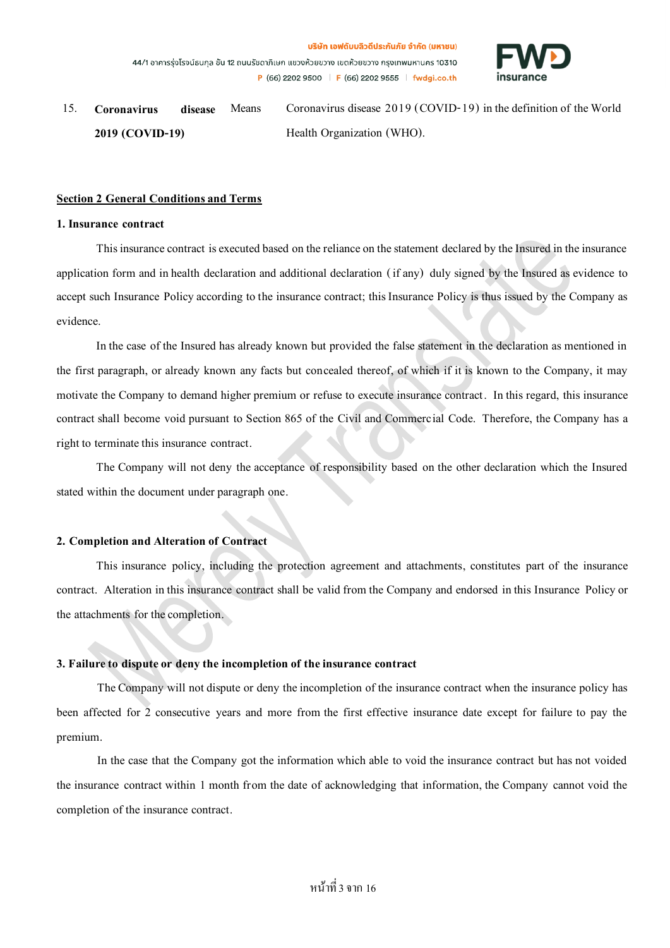

15. **Coronavirus disease 2019 (COVID-19)** Means Coronavirus disease 2019 (COVID-19) in the definition of the World Health Organization (WHO).

#### **Section 2 General Conditions and Terms**

#### **1. Insurance contract**

This insurance contract is executed based on the reliance on the statement declared by the Insured in the insurance application form and in health declaration and additional declaration ( if any) duly signed by the Insured as evidence to accept such Insurance Policy according to the insurance contract; this Insurance Policy is thus issued by the Company as evidence.

In the case of the Insured has already known but provided the false statement in the declaration as mentioned in the first paragraph, or already known any facts but concealed thereof, of which if it is known to the Company, it may motivate the Company to demand higher premium or refuse to execute insurance contract. In this regard, this insurance contract shall become void pursuant to Section 865 of the Civil and Commercial Code. Therefore, the Company has a right to terminate this insurance contract.

The Company will not deny the acceptance of responsibility based on the other declaration which the Insured stated within the document under paragraph one.

## **2. Completion and Alteration of Contract**

This insurance policy, including the protection agreement and attachments, constitutes part of the insurance contract. Alteration in this insurance contract shall be valid from the Company and endorsed in this Insurance Policy or the attachments for the completion.

## **3. Failure to dispute or deny the incompletion of the insurance contract**

The Company will not dispute or deny the incompletion of the insurance contract when the insurance policy has been affected for 2 consecutive years and more from the first effective insurance date except for failure to pay the premium.

In the case that the Company got the information which able to void the insurance contract but has not voided the insurance contract within 1 month from the date of acknowledging that information, the Company cannot void the completion of the insurance contract.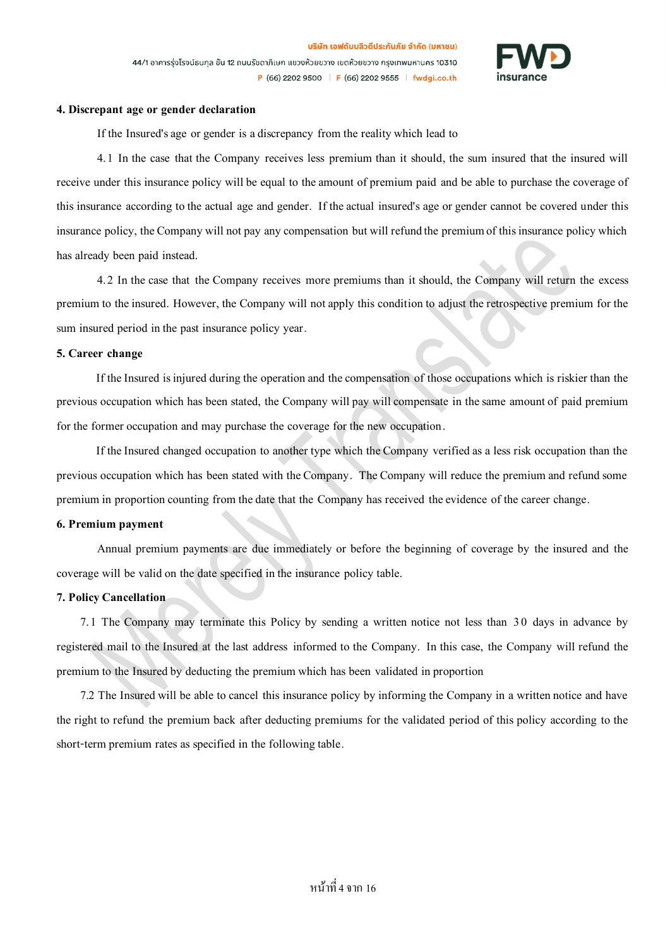

#### **4. Discrepant age or gender declaration**

If the Insured's age or gender is a discrepancy from the reality which lead to

4.1 In the case that the Company receives less premium than it should, the sum insured that the insured will receive under this insurance policy will be equal to the amount of premium paid and be able to purchase the coverage of this insurance according to the actual age and gender. If theactual insured's age or gender cannot be covered under this insurance policy, the Company will not pay any compensation but will refundthe premium of this insurance policy which has already been paid instead.

4.2 In the case that the Company receives more premiums than it should, the Company will return the excess premium to the insured. However, the Company will not apply this conditionto adjust the retrospective premium for the sum insured period in the past insurance policy year.

#### **5. Career change**

If the Insured is injured during the operation and the compensation of those occupations which is riskier than the previous occupation which has been stated, the Company will pay will compensate in the same amount of paid premium for the former occupation and may purchase the coverage for the new occupation.

If the Insured changed occupation to another type which the Company verified as a less risk occupation than the previous occupation which has been stated with the Company. The Company will reduce the premium and refund some premium in proportion counting from the date that the Company has received the evidence of the career change.

#### **6. Premium payment**

Annual premium payments are due immediately or before the beginning of coverage by the insured and the coverage will be validon the date specified in the insurance policy table.

#### **7. Policy Cancellation**

7.1 The Company may terminate this Policy by sending a written notice not less than 30 days in advance by registered mail to the Insured at the last address informed to the Company. In this case, the Company will refund the premium to the Insured by deducting the premium which has been validated in proportion

7.2 The Insured will be able to cancel this insurance policy by informing the Company in a written notice and have the right to refund the premium back after deducting premiums for the validated period of this policy according to the short-term premium rates as specified in the following table.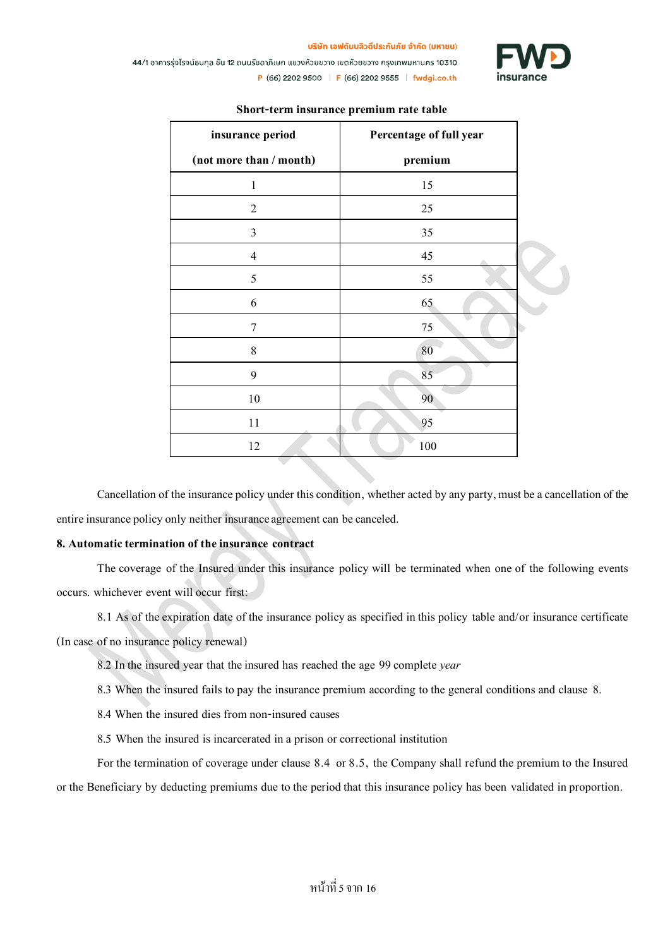

บริษัท เอฟดับบลิวดีประกันภัย จำกัด (มหาชน)

44/1 อาคารรุ่งโรจน์ธนกุล ชั้น 12 ถนนรัชดาภิเษก แขวงห้วยขวาง เขตห้วยขวาง กรุงเทพมหานคร 10310 P (66) 2202 9500 | F (66) 2202 9555 | fwdgi.co.th

| insurance period        | Percentage of full year |  |
|-------------------------|-------------------------|--|
| (not more than / month) | premium                 |  |
| $\,1$                   | 15                      |  |
| $\overline{2}$          | 25                      |  |
| 3                       | 35                      |  |
| $\overline{4}$          | 45                      |  |
| 5                       | 55                      |  |
| 6                       | 65                      |  |
| $\overline{7}$          | 75                      |  |
| 8                       | 80                      |  |
| 9                       | 85                      |  |
| 10                      | 90                      |  |
| 11                      | 95                      |  |
| 12                      | 100                     |  |

## **Short-term insurance premium rate table**

Cancellation of the insurance policy under this condition, whether acted by any party, must be a cancellation of the entire insurance policy only neither insuranceagreement can be canceled.

## **8. Automatic termination of the insurance contract**

The coverage of the Insured under this insurance policy will be terminated when one of the following events occurs. whichever event will occur first:

8.1 As of the expiration date of the insurance policy as specified in this policy table and/or insurance certificate (In case of no insurance policy renewal)

8.2 In the insured year that the insured has reached the age 99complete *year*

8.3 When the insured fails to pay the insurance premium according to the general conditions and clause 8.

8.4 When the insured dies from non-insured causes

8.5 When the insured is incarcerated in a prison or correctional institution

For the termination of coverage under clause 8.4 or 8.5, the Company shall refund the premium to the Insured or the Beneficiary by deducting premiums due tothe period that this insurance policy has been validated in proportion.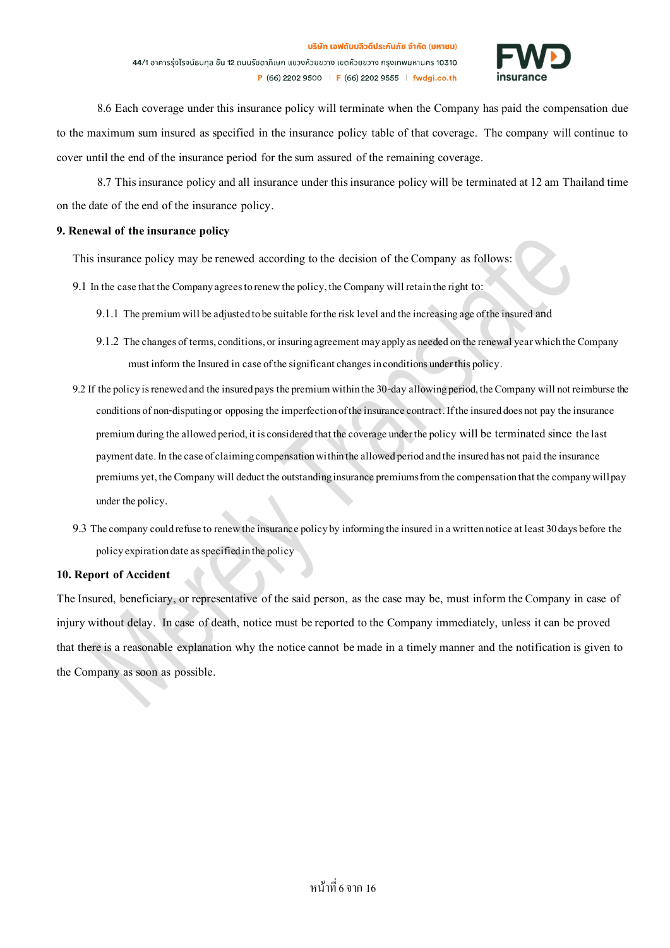

8.6 Each coverage under this insurance policy will terminate when the Company has paid the compensation due to the maximum sum insured as specified in the insurance policy table of that coverage. The company will continue to cover until the end of the insurance period for the sum assured of the remaining coverage.

8.7 This insurance policy and all insurance under this insurance policy will be terminatedat 12 am Thailand time on the date of the end of the insurance policy.

### **9. Renewal of the insurance policy**

This insurance policy may be renewed according to the decision of the Company as follows:

- 9.1 In the case that the Companyagrees to renew the policy, the Company will retain the right to:
	- 9.1.1 The premium will be adjustedtobe suitable for the risk level andthe increasingage of the insuredand
	- 9.1.2 The changes of terms, conditions, or insuring agreement may apply as needed on the renewal year which the Company must inform the Insured in case of the significant changes in conditions under this policy.
- 9.2 If the policy is renewed and the insured pays the premium within the 30-day allowingperiod, the Company will not reimburse the conditions of non-disputing or opposing the imperfection of the insurance contract. If the insured does not pay the insurance premium during the allowed period, it is considered that the coverage under the policy will be terminated since the last payment date. In the case of claiming compensation within the allowedperiodand the insured has not paid the insurance premiumsyet, the Company will deduct the outstanding insurance premiums from the compensation that the company will pay under the policy.
- 9.3 The company could refuse to renew the insurance policy by informingthe insured ina written noticeat least 30 days before the policy expiration date as specified in the policy

## **10. Report of Accident**

The Insured, beneficiary, or representative of the said person, as the case may be, must inform the Company in case of injury without delay. In case of death, notice must be reported to the Company immediately, unless it can be proved that there is a reasonable explanation why the notice cannot be made in a timely manner and the notification is given to the Company as soon as possible.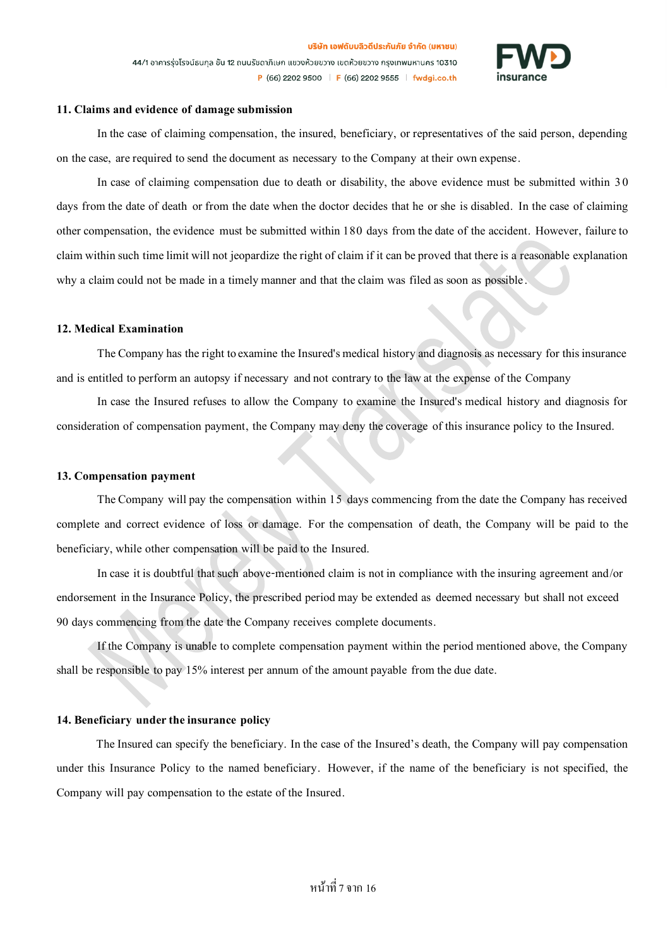

#### 11. Claims and evidence of damage submission

In the case of claiming compensation, the insured, beneficiary, or representatives of the said person, depending on the case, are required to send the document as necessary to the Company at their own expense.

In case of claiming compensation due to death or disability, the above evidence must be submitted within 3 0 days from the date of death or from the date when the doctor decides that he or she is disabled. In the case of claiming other compensation, the evidence must be submitted within 180 days from the date of the accident. However, failure to claim within such time limit will not jeopardize the right of claim if it can be proved that there is a reasonable explanation why a claim could not be made in a timely manner and that the claim was filed as soon as possible.

#### **12. Medical Examination**

The Company has the right to examine the Insured's medical history and diagnosis as necessary for this insurance and is entitled to perform an autopsy if necessary and not contrary to the law at the expense of the Company

In case the Insured refuses to allow the Company to examine the Insured's medical history and diagnosis for consideration of compensation payment, the Company may deny the coverage of this insurance policy to the Insured.

#### **13. Compensation payment**

The Company will pay the compensation within 15 days commencing from the date the Company has received complete and correct evidence of loss or damage. For the compensation of death, the Company will be paid to the beneficiary, while other compensation will be paid to the Insured.

In case it is doubtful that such above-mentioned claim is not in compliance with the insuring agreement and/or endorsement in the Insurance Policy, the prescribed period may be extended as deemed necessary but shall not exceed 90 days commencing from the date the Company receives complete documents.

If the Company is unable to complete compensation payment within the period mentioned above, the Company shall be responsible to pay 15% interest per annum of the amount payable from the due date.

### **14. Beneficiary under the insurance policy**

The Insured can specify the beneficiary. In the case of the Insured's death, the Company will pay compensation under this Insurance Policy to the named beneficiary. However, if the name of the beneficiary is not specified, the Company will pay compensation to the estate of the Insured.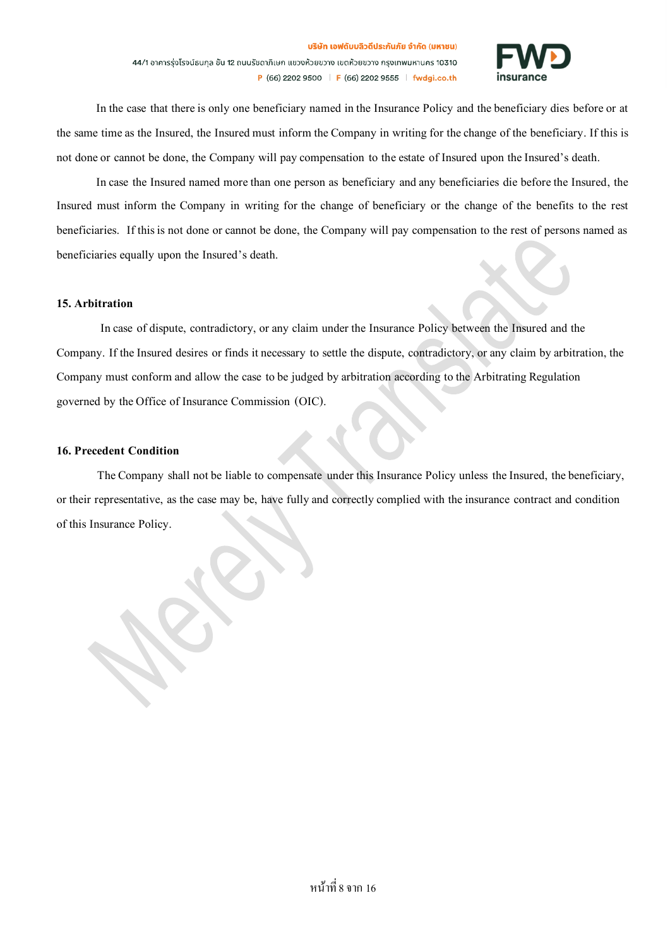

In the case that there is only one beneficiary named in the Insurance Policy and the beneficiary dies before or at the same time as the Insured, the Insured must inform the Company in writing for the change of the beneficiary. If this is not done or cannot be done, the Company will pay compensation to the estate of Insured upon the Insured's death.

In case the Insured named more than one person as beneficiary and any beneficiaries die before the Insured, the Insured must inform the Company in writing for the change of beneficiary or the change of the benefits to the rest beneficiaries. If this is not done or cannot be done, the Company will pay compensation to the rest of persons named as beneficiaries equally upon the Insured's death.

#### **15. Arbitration**

In case of dispute, contradictory, or any claim under the Insurance Policy between the Insured and the Company. If the Insured desires or finds it necessary to settle the dispute, contradictory, or any claim by arbitration, the Company must conform and allow the case to be judged by arbitration according to the Arbitrating Regulation governed by the Office of Insurance Commission (OIC).

### **16. Precedent Condition**

The Company shall not be liable to compensate under this Insurance Policy unless the Insured, the beneficiary, or their representative, as the case may be, have fully and correctly complied with the insurance contract and condition of this Insurance Policy.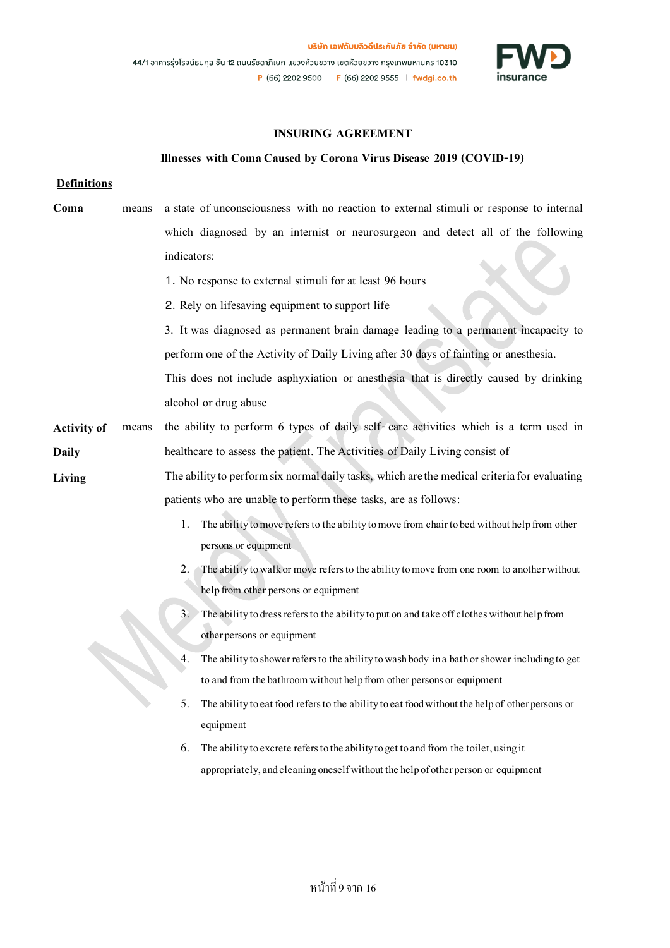

## **INSURING AGREEMENT**

#### **Illnesses with Coma Caused by Corona Virus Disease 2019 (COVID-19)**

#### **Definitions**

- **Coma** means a state of unconsciousness with no reaction to external stimuli or response to internal which diagnosed by an internist or neurosurgeon and detect all of the following indicators: 1. No response to external stimuli for at least 96 hours
	- 2. Rely on lifesaving equipment to support life
	- 3. It was diagnosed as permanent brain damage leading to a permanent incapacity to perform one of the Activityof Daily Livingafter30 days of fainting or anesthesia. This does not include asphyxiation or anesthesia that is directly caused by drinking alcohol or drug abuse
- **Activity of Daily**  means the ability to perform 6 types of daily self- care activities which is a term used in healthcare to assess the patient. The Activities of Daily Living consist of
- **Living** The ability to perform six normal daily tasks, which are the medical criteria for evaluating patients who are unable to perform these tasks, are as follows:
	- 1. The ability to move refers to the ability to move from chair to bed without help from other persons or equipment
	- 2. The ability to walk or move refers to the ability to move from one room to another without help from other persons or equipment
	- 3. The ability to dress refers to the ability to put on and take off clothes without help from other persons or equipment
	- 4. The ability to shower refers to the ability to wash body in a bath or shower including to get to and from the bathroom without help from other persons or equipment
	- 5. The ability to eat food refers to the ability to eat food without the help of other persons or equipment
	- 6. The ability to excrete refers to the ability to get to and from the toilet, using it appropriately, and cleaning oneself without the help of other person or equipment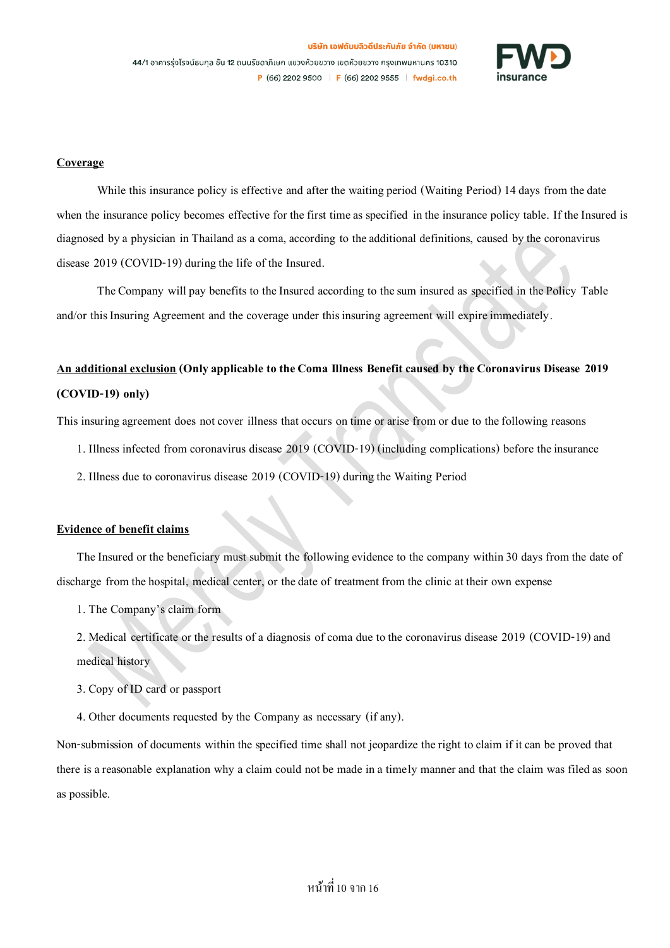

### **Coverage**

While this insurance policy is effective and after the waiting period (Waiting Period) 14 days from the date when the insurance policy becomes effective for the first time as specified in the insurance policy table. If the Insured is diagnosed by a physician in Thailand as a coma, according to the additional definitions, caused by the coronavirus disease 2019 (COVID-19) during the life of the Insured.

The Company will pay benefits to the Insured according to the sum insured as specified in the Policy Table and/or this Insuring Agreement and the coverage under this insuring agreement will expire immediately.

# **An additional exclusion(Only applicable to the Coma Illness Benefit caused by the Coronavirus Disease 2019 (COVID-19) only)**

This insuring agreement does not cover illness that occurs on time or arise from or due to the following reasons

- 1. Illness infected from coronavirus disease 2019 (COVID-19) (including complications) before the insurance
- 2. Illness due to coronavirus disease 2019 (COVID-19) during the Waiting Period

#### **Evidence of benefit claims**

The Insured or the beneficiary must submit the following evidence to the company within 30 days from the date of discharge from the hospital, medical center, or the date of treatment from the clinic at their own expense

1. The Company's claim form

2. Medical certificate or the results of a diagnosis of coma due to the coronavirus disease 2019 (COVID-19) and medical history

3. Copy of ID card orpassport

4. Other documents requested by the Company as necessary (if any).

Non-submission of documents within the specified time shall not jeopardize the right to claim if it can be proved that there is a reasonable explanation why a claim could not be made in a timely manner and that the claim was filed as soon as possible.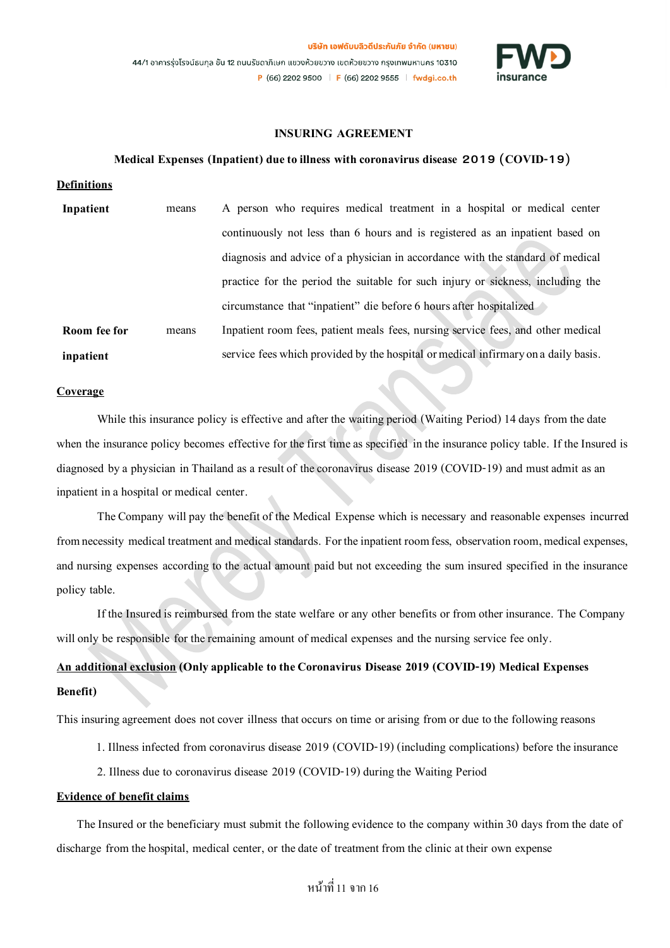

## **INSURING AGREEMENT**

#### **Medical Expenses (Inpatient)due to illness with coronavirus disease 2019 (COVID-19)**

**Definitions**

| Inpatient    | means | A person who requires medical treatment in a hospital or medical center            |
|--------------|-------|------------------------------------------------------------------------------------|
|              |       | continuously not less than 6 hours and is registered as an inpatient based on      |
|              |       | diagnosis and advice of a physician in accordance with the standard of medical     |
|              |       | practice for the period the suitable for such injury or sickness, including the    |
|              |       | circumstance that "inpatient" die before 6 hours after hospitalized                |
| Room fee for | means | Inpatient room fees, patient meals fees, nursing service fees, and other medical   |
| inpatient    |       | service fees which provided by the hospital or medical infirmary on a daily basis. |

#### **Coverage**

While this insurance policy is effective and after the waiting period (Waiting Period) 14 days from the date when the insurance policy becomes effective for the first time as specified in the insurance policy table. If the Insured is diagnosed by a physician in Thailand as a result of the coronavirus disease 2019 (COVID-19) and must admit as an inpatient in a hospital or medical center.

The Company will pay the benefit of the Medical Expense which is necessary and reasonable expenses incurred fromnecessity medical treatment and medical standards. For the inpatient room fess, observation room, medical expenses, and nursing expenses according to the actual amount paid but not exceeding the sum insured specified in the insurance policy table.

If the Insured is reimbursed from the state welfare or any other benefits or from other insurance. The Company will only be responsible for the remaining amount of medical expenses and the nursing service fee only.

## **An additional exclusion(Only applicable to the Coronavirus Disease 2019 (COVID-19) Medical Expenses Benefit)**

This insuring agreement does not cover illness that occurs on time or arising from or due to the following reasons

1. Illness infected from coronavirus disease 2019 (COVID-19) (including complications) before the insurance

2. Illness due to coronavirus disease 2019 (COVID-19) during the Waiting Period

#### **Evidence of benefit claims**

The Insured or the beneficiary must submit the following evidence to the company within 30 days from the date of discharge from the hospital, medical center, or the date of treatment from the clinic at their own expense

## หน้าที่ 11 จาก 16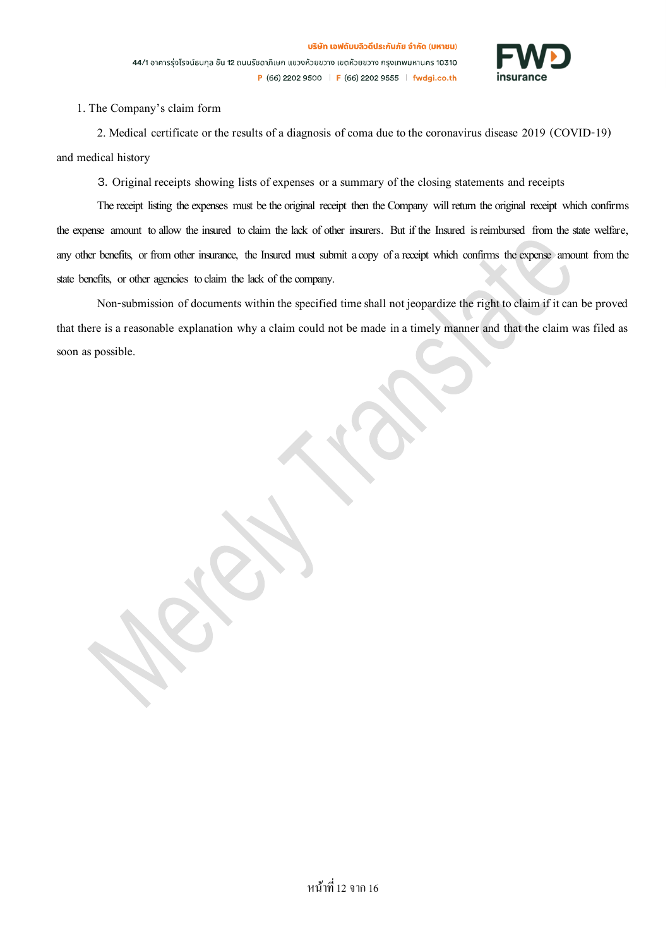

1. The Company's claim form

2. Medical certificate or the results of a diagnosis of coma due to the coronavirus disease 2019 (COVID-19) and medical history

3. Original receipts showing lists of expenses or a summary of the closing statements and receipts

The receipt listing the expenses must be the original receipt then the Company will return the original receipt which confirms the expense amount to allow the insured to claim the lack of other insurers. But if the Insured is reimbursed from the state welfare, any other benefits, or from other insurance, the Insured must submit a copy of a receipt which confirms the expense amount from the state benefits, or other agencies to claim the lack of the company.

Non-submission of documents within the specified time shall not jeopardize the right to claim if it can be proved that there is a reasonable explanation why a claim could not be made in a timely manner and that the claim was filed as soon as possible.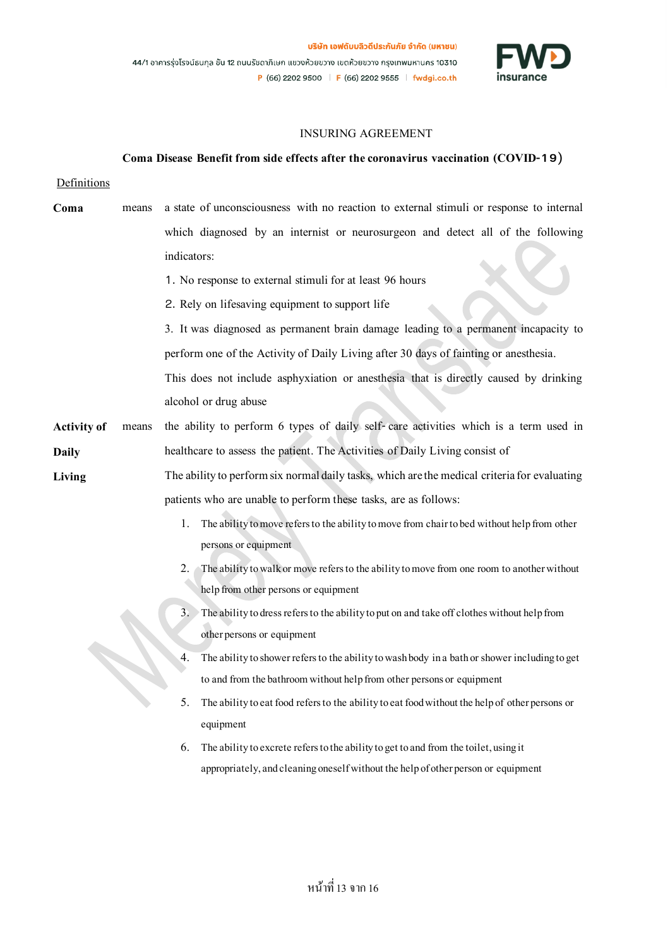

## INSURING AGREEMENT

#### **Coma Disease Benefit from side effects after the coronavirus vaccination (COVID-19)**

#### Definitions

- **Coma** means a state of unconsciousness with no reaction to external stimuli or response to internal which diagnosed by an internist or neurosurgeon and detect all of the following indicators:
	- 1. No response to external stimuli for at least 96 hours
	- 2. Rely on lifesaving equipment to support life

3. It was diagnosed as permanent brain damage leading to a permanent incapacity to perform one of the Activity of Daily Living after30 days of fainting or anesthesia.

This does not include asphyxiation or anesthesia that is directly caused by drinking alcohol or drug abuse

- **Activity of Daily**  means the ability to perform 6 types of daily self- care activities which is a term used in healthcare to assess the patient. The Activities of Daily Living consist of
- **Living** The ability to perform six normal daily tasks, which are the medical criteria for evaluating patients who are unable to perform these tasks, are as follows:
	- 1. The ability to move refers to the ability to move from chair to bed without help from other persons or equipment
	- 2. The ability to walk or move refers to the ability to move from one room to another without help from other persons or equipment
	- 3. The ability to dress refers to the ability to put on and take off clothes without help from other persons or equipment
	- 4. The ability to shower refers to the ability to wash body in a bath or shower including to get to and from the bathroom without help from other persons or equipment
	- 5. The ability to eat food refers to the ability to eat food without the help of other persons or equipment
	- 6. The ability to excrete refers to the ability to get to and from the toilet, using it appropriately, and cleaning oneself without the help of other person or equipment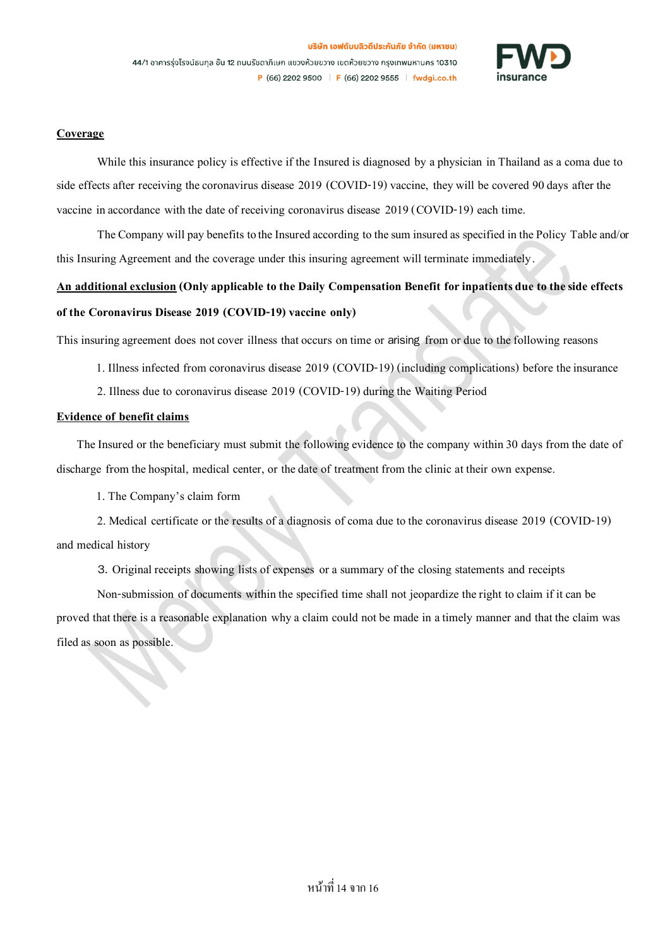

## **Coverage**

While this insurance policy is effective if the Insured is diagnosed by a physician in Thailand as a coma due to side effects after receiving the coronavirus disease 2019 (COVID-19) vaccine, they will be covered 90 days after the vaccine in accordance with the date of receiving coronavirus disease 2019 (COVID-19) each time.

The Company will pay benefits to the Insured according to the sum insured as specified in the Policy Tableand/or this Insuring Agreement and the coverage under this insuring agreement will terminate immediately.

# **An additional exclusion(Only applicable to the Daily Compensation Benefit for inpatients due to the side effects of the Coronavirus Disease 2019 (COVID-19)vaccine only)**

This insuring agreement does not cover illness that occurs on time or arising from or due to the following reasons

- 1. Illness infected from coronavirus disease 2019 (COVID-19) (including complications) before the insurance
- 2. Illness due to coronavirus disease 2019 (COVID-19) during the Waiting Period

#### **Evidence of benefit claims**

The Insured or the beneficiary must submit the following evidence to the company within 30 days from the date of discharge from the hospital, medical center, or the date of treatment from the clinic at their own expense.

1. The Company's claim form

2. Medical certificate or the results of a diagnosis of coma due to the coronavirus disease 2019 (COVID-19) and medical history

3. Original receipts showing lists of expenses or a summary of the closing statements and receipts

Non-submission of documents within the specified time shall not jeopardize the right to claim if it can be proved that there is a reasonable explanation why a claim could not be made in a timely manner and that the claim was filed as soon as possible.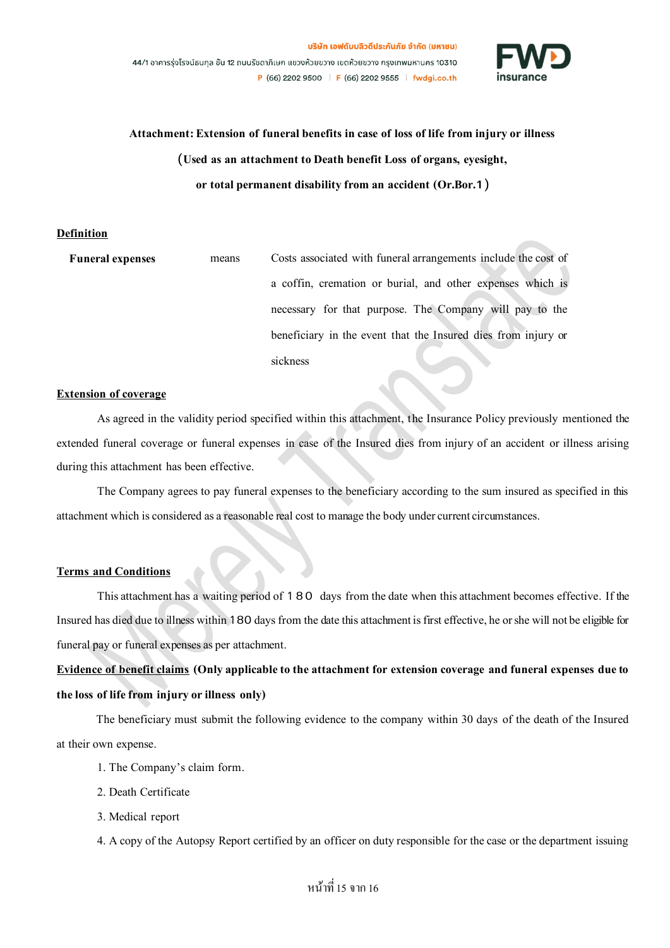

**Attachment: Extension of funeral benefits in case of loss of life from injury or illness (Used as an attachment to Death benefit Loss of organs, eyesight, or total permanent disability from an accident (Or.Bor.1)**

#### **Definition**

| <b>Funeral expenses</b> | means | Costs associated with funeral arrangements include the cost of |
|-------------------------|-------|----------------------------------------------------------------|
|                         |       | a coffin, cremation or burial, and other expenses which is     |
|                         |       | necessary for that purpose. The Company will pay to the        |
|                         |       | beneficiary in the event that the Insured dies from injury or  |
|                         |       | sickness                                                       |

## **Extension of coverage**

As agreed in the validity period specified within this attachment, the Insurance Policy previously mentioned the extended funeral coverage or funeral expenses in case of the Insured dies from injury of an accident or illness arising during this attachment has been effective.

The Company agrees to pay funeral expenses to the beneficiary according to the sum insured as specified in this attachment which is considered as a reasonable real cost to manage the body under current circumstances.

## **Terms and Conditions**

This attachment has a waiting period of 180 days from the date when this attachment becomes effective. If the Insuredhas died due to illness within 180 days from the date this attachment is first effective, he or she will not be eligible for funeral pay or funeral expenses as per attachment.

## **Evidence of benefit claims (Only applicable to the attachment for extension coverage and funeral expenses due to the loss of life from injury or illness only)**

The beneficiary must submit the following evidence to the company within 30 days of the death of the Insured at their own expense.

- 1. The Company's claim form.
- 2. Death Certificate
- 3. Medical report
- 4. A copyof the Autopsy Report certified by an officer on duty responsible for the case or the department issuing